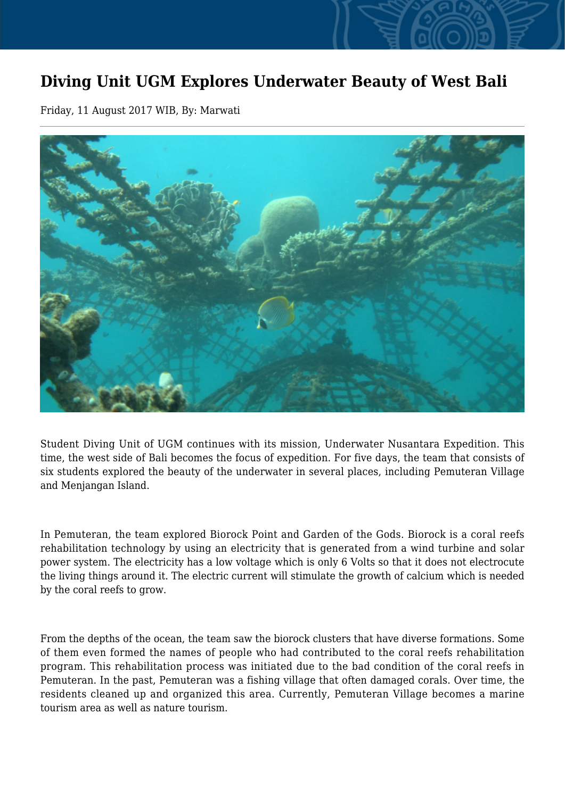## **Diving Unit UGM Explores Underwater Beauty of West Bali**

Friday, 11 August 2017 WIB, By: Marwati



Student Diving Unit of UGM continues with its mission, Underwater Nusantara Expedition. This time, the west side of Bali becomes the focus of expedition. For five days, the team that consists of six students explored the beauty of the underwater in several places, including Pemuteran Village and Menjangan Island.

In Pemuteran, the team explored Biorock Point and Garden of the Gods. Biorock is a coral reefs rehabilitation technology by using an electricity that is generated from a wind turbine and solar power system. The electricity has a low voltage which is only 6 Volts so that it does not electrocute the living things around it. The electric current will stimulate the growth of calcium which is needed by the coral reefs to grow.

From the depths of the ocean, the team saw the biorock clusters that have diverse formations. Some of them even formed the names of people who had contributed to the coral reefs rehabilitation program. This rehabilitation process was initiated due to the bad condition of the coral reefs in Pemuteran. In the past, Pemuteran was a fishing village that often damaged corals. Over time, the residents cleaned up and organized this area. Currently, Pemuteran Village becomes a marine tourism area as well as nature tourism.